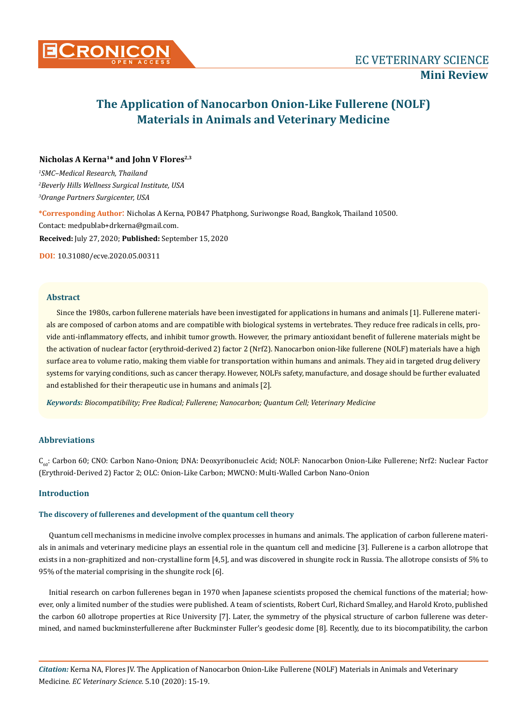

# **Nicholas A Kerna1\* and John V Flores2,3**

*1 SMC–Medical Research, Thailand 2 Beverly Hills Wellness Surgical Institute, USA 3 Orange Partners Surgicenter, USA*

**\*Corresponding Author**: Nicholas A Kerna, POB47 Phatphong, Suriwongse Road, Bangkok, Thailand 10500. Contact: medpublab+drkerna@gmail.com. **Received:** July 27, 2020; **Published:** September 15, 2020

**DOI**: 10.31080/ecve.2020.05.00311

### **Abstract**

Since the 1980s, carbon fullerene materials have been investigated for applications in humans and animals [1]. Fullerene materials are composed of carbon atoms and are compatible with biological systems in vertebrates. They reduce free radicals in cells, provide anti-inflammatory effects, and inhibit tumor growth. However, the primary antioxidant benefit of fullerene materials might be the activation of nuclear factor (erythroid-derived 2) factor 2 (Nrf2). Nanocarbon onion-like fullerene (NOLF) materials have a high surface area to volume ratio, making them viable for transportation within humans and animals. They aid in targeted drug delivery systems for varying conditions, such as cancer therapy. However, NOLFs safety, manufacture, and dosage should be further evaluated and established for their therapeutic use in humans and animals [2].

*Keywords: Biocompatibility; Free Radical; Fullerene; Nanocarbon; Quantum Cell; Veterinary Medicine*

## **Abbreviations**

C<sub>60</sub>: Carbon 60; CNO: Carbon Nano-Onion; DNA: Deoxyribonucleic Acid; NOLF: Nanocarbon Onion-Like Fullerene; Nrf2: Nuclear Factor (Erythroid-Derived 2) Factor 2; OLC: Onion-Like Carbon; MWCNO: Multi-Walled Carbon Nano-Onion

# **Introduction**

#### **The discovery of fullerenes and development of the quantum cell theory**

Quantum cell mechanisms in medicine involve complex processes in humans and animals. The application of carbon fullerene materials in animals and veterinary medicine plays an essential role in the quantum cell and medicine [3]. Fullerene is a carbon allotrope that exists in a non-graphitized and non-crystalline form [4,5], and was discovered in shungite rock in Russia. The allotrope consists of 5% to 95% of the material comprising in the shungite rock [6].

Initial research on carbon fullerenes began in 1970 when Japanese scientists proposed the chemical functions of the material; however, only a limited number of the studies were published. A team of scientists, Robert Curl, Richard Smalley, and Harold Kroto, published the carbon 60 allotrope properties at Rice University [7]. Later, the symmetry of the physical structure of carbon fullerene was determined, and named buckminsterfullerene after Buckminster Fuller's geodesic dome [8]. Recently, due to its biocompatibility, the carbon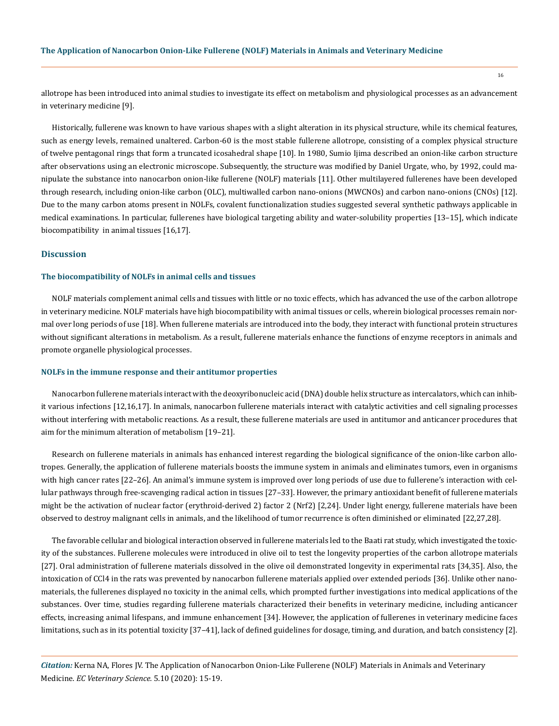allotrope has been introduced into animal studies to investigate its effect on metabolism and physiological processes as an advancement in veterinary medicine [9].

Historically, fullerene was known to have various shapes with a slight alteration in its physical structure, while its chemical features, such as energy levels, remained unaltered. Carbon-60 is the most stable fullerene allotrope, consisting of a complex physical structure of twelve pentagonal rings that form a truncated icosahedral shape [10]. In 1980, Sumio Ijima described an onion-like carbon structure after observations using an electronic microscope. Subsequently, the structure was modified by Daniel Urgate, who, by 1992, could manipulate the substance into nanocarbon onion-like fullerene (NOLF) materials [11]. Other multilayered fullerenes have been developed through research, including onion-like carbon (OLC), multiwalled carbon nano-onions (MWCNOs) and carbon nano-onions (CNOs) [12]. Due to the many carbon atoms present in NOLFs, covalent functionalization studies suggested several synthetic pathways applicable in medical examinations. In particular, fullerenes have biological targeting ability and water-solubility properties [13–15], which indicate biocompatibility in animal tissues [16,17].

### **Discussion**

# **The biocompatibility of NOLFs in animal cells and tissues**

NOLF materials complement animal cells and tissues with little or no toxic effects, which has advanced the use of the carbon allotrope in veterinary medicine. NOLF materials have high biocompatibility with animal tissues or cells, wherein biological processes remain normal over long periods of use [18]. When fullerene materials are introduced into the body, they interact with functional protein structures without significant alterations in metabolism. As a result, fullerene materials enhance the functions of enzyme receptors in animals and promote organelle physiological processes.

#### **NOLFs in the immune response and their antitumor properties**

Nanocarbon fullerene materials interact with the deoxyribonucleic acid (DNA) double helix structure as intercalators, which can inhibit various infections [12,16,17]. In animals, nanocarbon fullerene materials interact with catalytic activities and cell signaling processes without interfering with metabolic reactions. As a result, these fullerene materials are used in antitumor and anticancer procedures that aim for the minimum alteration of metabolism [19–21].

Research on fullerene materials in animals has enhanced interest regarding the biological significance of the onion-like carbon allotropes. Generally, the application of fullerene materials boosts the immune system in animals and eliminates tumors, even in organisms with high cancer rates [22–26]. An animal's immune system is improved over long periods of use due to fullerene's interaction with cellular pathways through free-scavenging radical action in tissues [27–33]. However, the primary antioxidant benefit of fullerene materials might be the activation of nuclear factor (erythroid-derived 2) factor 2 (Nrf2) [2,24]. Under light energy, fullerene materials have been observed to destroy malignant cells in animals, and the likelihood of tumor recurrence is often diminished or eliminated [22,27,28].

The favorable cellular and biological interaction observed in fullerene materials led to the Baati rat study, which investigated the toxicity of the substances. Fullerene molecules were introduced in olive oil to test the longevity properties of the carbon allotrope materials [27]. Oral administration of fullerene materials dissolved in the olive oil demonstrated longevity in experimental rats [34,35]. Also, the intoxication of CCl4 in the rats was prevented by nanocarbon fullerene materials applied over extended periods [36]. Unlike other nanomaterials, the fullerenes displayed no toxicity in the animal cells, which prompted further investigations into medical applications of the substances. Over time, studies regarding fullerene materials characterized their benefits in veterinary medicine, including anticancer effects, increasing animal lifespans, and immune enhancement [34]. However, the application of fullerenes in veterinary medicine faces limitations, such as in its potential toxicity [37–41], lack of defined guidelines for dosage, timing, and duration, and batch consistency [2].

*Citation:* Kerna NA, Flores JV. The Application of Nanocarbon Onion-Like Fullerene (NOLF) Materials in Animals and Veterinary Medicine. *EC Veterinary Science.* 5.10 (2020): 15-19.

16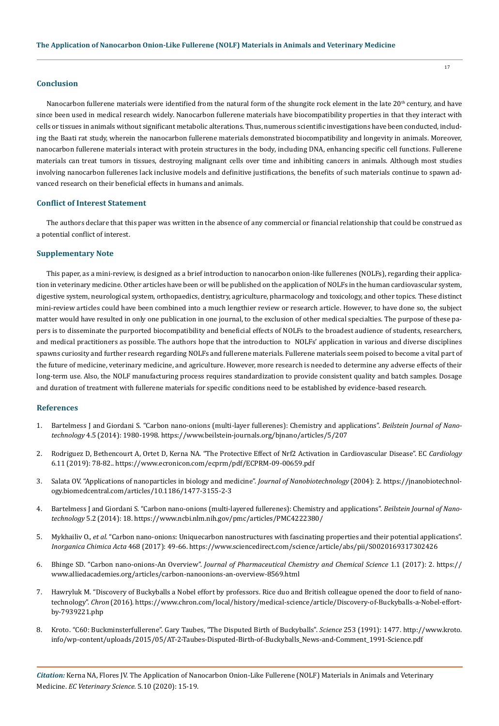### **Conclusion**

Nanocarbon fullerene materials were identified from the natural form of the shungite rock element in the late  $20<sup>th</sup>$  century, and have since been used in medical research widely. Nanocarbon fullerene materials have biocompatibility properties in that they interact with cells or tissues in animals without significant metabolic alterations. Thus, numerous scientific investigations have been conducted, including the Baati rat study, wherein the nanocarbon fullerene materials demonstrated biocompatibility and longevity in animals. Moreover, nanocarbon fullerene materials interact with protein structures in the body, including DNA, enhancing specific cell functions. Fullerene materials can treat tumors in tissues, destroying malignant cells over time and inhibiting cancers in animals. Although most studies involving nanocarbon fullerenes lack inclusive models and definitive justifications, the benefits of such materials continue to spawn advanced research on their beneficial effects in humans and animals.

## **Conflict of Interest Statement**

The authors declare that this paper was written in the absence of any commercial or financial relationship that could be construed as a potential conflict of interest.

### **Supplementary Note**

This paper, as a mini-review, is designed as a brief introduction to nanocarbon onion-like fullerenes (NOLFs), regarding their application in veterinary medicine. Other articles have been or will be published on the application of NOLFs in the human cardiovascular system, digestive system, neurological system, orthopaedics, dentistry, agriculture, pharmacology and toxicology, and other topics. These distinct mini-review articles could have been combined into a much lengthier review or research article. However, to have done so, the subject matter would have resulted in only one publication in one journal, to the exclusion of other medical specialties. The purpose of these papers is to disseminate the purported biocompatibility and beneficial effects of NOLFs to the broadest audience of students, researchers, and medical practitioners as possible. The authors hope that the introduction to NOLFs' application in various and diverse disciplines spawns curiosity and further research regarding NOLFs and fullerene materials. Fullerene materials seem poised to become a vital part of the future of medicine, veterinary medicine, and agriculture. However, more research is needed to determine any adverse effects of their long-term use. Also, the NOLF manufacturing process requires standardization to provide consistent quality and batch samples. Dosage and duration of treatment with fullerene materials for specific conditions need to be established by evidence-based research.

#### **References**

- 1. [Bartelmess J and Giordani S. "Carbon nano-onions \(multi-layer fullerenes\): Chemistry and applications".](https://www.beilstein-journals.org/bjnano/articles/5/207) *Beilstein Journal of Nanotechnology* [4.5 \(2014\): 1980-1998.](https://www.beilstein-journals.org/bjnano/articles/5/207) https://www.beilstein-journals.org/bjnano/articles/5/207
- 2. [Rodriguez D, Bethencourt A, Ortet D, Kerna NA. "The Protective Effect of Nrf2 Activation in Cardiovascular Disease". EC](https://www.ecronicon.com/ecprm/pdf/ECPRM-09-00659.pdf) *Cardiology* [6.11 \(2019\): 78-82..](https://www.ecronicon.com/ecprm/pdf/ECPRM-09-00659.pdf) https://www.ecronicon.com/ecprm/pdf/ECPRM-09-00659.pdf
- 3. [Salata OV. "Applications of nanoparticles in biology and medicine".](https://jnanobiotechnology.biomedcentral.com/articles/10.1186/1477-3155-2-3) *Journal of Nanobiotechnology* (2004): 2. https://jnanobiotechnology.biomedcentral.com/articles/10.1186/1477-3155-2-3
- 4. [Bartelmess J and Giordani S. "Carbon nano-onions \(multi-layered fullerenes\): Chemistry and applications".](https://www.ncbi.nlm.nih.gov/pmc/articles/PMC4222380/) *Beilstein Journal of Nanotechnology* [5.2 \(2014\): 18.](https://www.ncbi.nlm.nih.gov/pmc/articles/PMC4222380/) https://www.ncbi.nlm.nih.gov/pmc/articles/PMC4222380/
- 5. Mykhailiv O., *et al.* ["Carbon nano-onions: Uniquecarbon nanostructures with fascinating properties and their potential applications".](https://www.sciencedirect.com/science/article/abs/pii/S0020169317302426)  *[Inorganica Chimica Acta](https://www.sciencedirect.com/science/article/abs/pii/S0020169317302426)* 468 (2017): 49-66. https://www.sciencedirect.com/science/article/abs/pii/S0020169317302426
- 6. Bhinge SD. "Carbon nano-onions-An Overview". *[Journal of Pharmaceutical Chemistry and Chemical Science](https://www.alliedacademies.org/articles/carbon-nanoonions-an-overview-8569.html)* 1.1 (2017): 2. https:// www.alliedacademies.org/articles/carbon-nanoonions-an-overview-8569.html
- 7. [Hawryluk M. "Discovery of Buckyballs a Nobel effort by professors. Rice duo and British colleague opened the door to field of nano](https://www.chron.com/local/history/medical-science/article/Discovery-of-Buckyballs-a-Nobel-effort-by-7939221.php)[technology".](https://www.chron.com/local/history/medical-science/article/Discovery-of-Buckyballs-a-Nobel-effort-by-7939221.php) *Chron* (2016). https://www.chron.com/local/history/medical-science/article/Discovery-of-Buckyballs-a-Nobel-effortby-7939221.php
- 8. [Kroto. "C60: Buckminsterfullerene". Gary Taubes, "The Disputed Birth of Buckyballs".](http://www.kroto.info/wp-content/uploads/2015/05/AT-2-Taubes-Disputed-Birth-of-Buckyballs_News-and-Comment_1991-Science.pdf) *Science* 253 (1991): 1477. http://www.kroto. info/wp-content/uploads/2015/05/AT-2-Taubes-Disputed-Birth-of-Buckyballs\_News-and-Comment\_1991-Science.pdf

*Citation:* Kerna NA, Flores JV. The Application of Nanocarbon Onion-Like Fullerene (NOLF) Materials in Animals and Veterinary Medicine. *EC Veterinary Science.* 5.10 (2020): 15-19.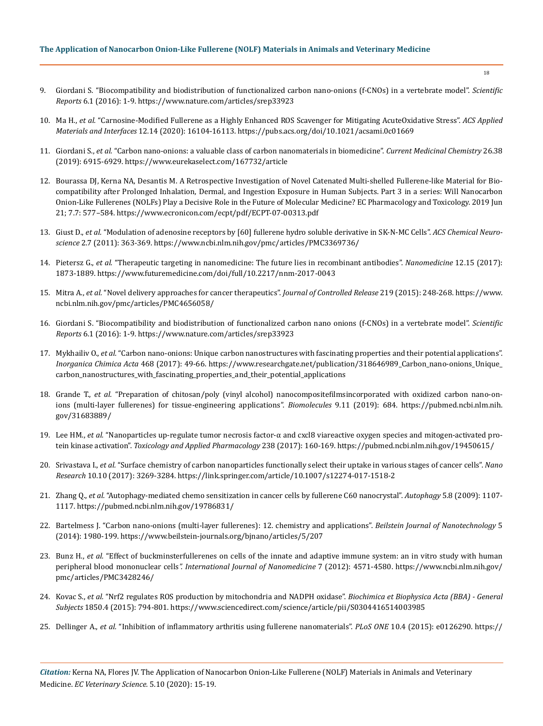# **The Application of Nanocarbon Onion-Like Fullerene (NOLF) Materials in Animals and Veterinary Medicine**

- 9. [Giordani S. "Biocompatibility and biodistribution of functionalized carbon nano-onions \(f-CNOs\) in a vertebrate model".](https://www.nature.com/articles/srep33923) *Scientific Reports* [6.1 \(2016\): 1-9.](https://www.nature.com/articles/srep33923) https://www.nature.com/articles/srep33923
- 10. Ma H., *et al.* ["Carnosine-Modified Fullerene as a Highly Enhanced ROS Scavenger for Mitigating AcuteOxidative Stress".](https://pubs.acs.org/doi/10.1021/acsami.0c01669) *ACS Applied [Materials and Interfaces](https://pubs.acs.org/doi/10.1021/acsami.0c01669)* 12.14 (2020): 16104-16113. https://pubs.acs.org/doi/10.1021/acsami.0c01669
- 11. Giordani S., *et al.* ["Carbon nano-onions: a valuable class of carbon nanomaterials in biomedicine".](https://www.eurekaselect.com/167732/article) *Current Medicinal Chemistry* 26.38 [\(2019\): 6915-6929.](https://www.eurekaselect.com/167732/article) https://www.eurekaselect.com/167732/article
- 12. [Bourassa DJ, Kerna NA, Desantis M. A Retrospective Investigation of Novel Catenated Multi-shelled Fullerene-like Material for Bio](https://www.ecronicon.com/ecpt/pdf/ECPT-07-00313.pdf)[compatibility after Prolonged Inhalation, Dermal, and Ingestion Exposure in Human Subjects. Part 3 in a series: Will Nanocarbon](https://www.ecronicon.com/ecpt/pdf/ECPT-07-00313.pdf)  [Onion-Like Fullerenes \(NOLFs\) Play a Decisive Role in the Future of Molecular Medicine? EC Pharmacology and Toxicology. 2019 Jun](https://www.ecronicon.com/ecpt/pdf/ECPT-07-00313.pdf)  [21; 7.7: 577–584.](https://www.ecronicon.com/ecpt/pdf/ECPT-07-00313.pdf) https://www.ecronicon.com/ecpt/pdf/ECPT-07-00313.pdf
- 13. Giust D., *et al.* ["Modulation of adenosine receptors by \[60\] fullerene hydro soluble derivative in SK-N-MC Cells".](https://www.ncbi.nlm.nih.gov/pmc/articles/PMC3369736/) *ACS Chemical Neuroscience* [2.7 \(2011\): 363-369.](https://www.ncbi.nlm.nih.gov/pmc/articles/PMC3369736/) https://www.ncbi.nlm.nih.gov/pmc/articles/PMC3369736/
- 14. Pietersz G., *et al.* ["Therapeutic targeting in nanomedicine: The future lies in recombinant antibodies".](https://www.futuremedicine.com/doi/full/10.2217/nnm-2017-0043) *Nanomedicine* 12.15 (2017): [1873-1889.](https://www.futuremedicine.com/doi/full/10.2217/nnm-2017-0043) https://www.futuremedicine.com/doi/full/10.2217/nnm-2017-0043
- 15. Mitra A., *et al.* ["Novel delivery approaches for cancer therapeutics".](https://www.ncbi.nlm.nih.gov/pmc/articles/PMC4656058/) *Journal of Controlled Release* 219 (2015): 248-268. https://www. ncbi.nlm.nih.gov/pmc/articles/PMC4656058/
- 16. [Giordani S. "Biocompatibility and biodistribution of functionalized carbon nano onions \(f-CNOs\) in a vertebrate model".](https://www.nature.com/articles/srep33923) *Scientific Reports* [6.1 \(2016\): 1-9.](https://www.nature.com/articles/srep33923) https://www.nature.com/articles/srep33923
- 17. Mykhailiv O., *et al.* ["Carbon nano-onions: Unique carbon nanostructures with fascinating properties and their potential applications".](https://www.researchgate.net/publication/318646989_Carbon_nano-onions_Unique_carbon_nanostructures_with_fascinating_properties_and_their_potential_applications)  *[Inorganica Chimica Acta](https://www.researchgate.net/publication/318646989_Carbon_nano-onions_Unique_carbon_nanostructures_with_fascinating_properties_and_their_potential_applications)* 468 (2017): 49-66. https://www.researchgate.net/publication/318646989\_Carbon\_nano-onions\_Unique\_ carbon\_nanostructures\_with\_fascinating\_properties\_and\_their\_potential\_applications
- 18. Grande T., *et al.* ["Preparation of chitosan/poly \(vinyl alcohol\) nanocompositefilmsincorporated with oxidized carbon nano-on](https://pubmed.ncbi.nlm.nih.gov/31683889/)[ions \(multi-layer fullerenes\) for tissue-engineering applications".](https://pubmed.ncbi.nlm.nih.gov/31683889/) *Biomolecules* 9.11 (2019): 684. https://pubmed.ncbi.nlm.nih. gov/31683889/
- 19. Lee HM., *et al.* ["Nanoparticles up-regulate tumor necrosis factor-α and cxcl8 viareactive oxygen species and mitogen-activated pro](https://pubmed.ncbi.nlm.nih.gov/19450615/)tein kinase activation". *[Toxicology and Applied Pharmacology](https://pubmed.ncbi.nlm.nih.gov/19450615/)* 238 (2017): 160-169. https://pubmed.ncbi.nlm.nih.gov/19450615/
- 20. Srivastava I., *et al.* ["Surface chemistry of carbon nanoparticles functionally select their uptake in various stages of cancer cells".](https://link.springer.com/article/10.1007/s12274-017-1518-2) *Nano Research* [10.10 \(2017\): 3269-3284.](https://link.springer.com/article/10.1007/s12274-017-1518-2) https://link.springer.com/article/10.1007/s12274-017-1518-2
- 21. Zhang Q., *et al.* ["Autophagy-mediated chemo sensitization in cancer cells by fullerene C60 nanocrystal".](https://pubmed.ncbi.nlm.nih.gov/19786831/) *Autophagy* 5.8 (2009): 1107- [1117.](https://pubmed.ncbi.nlm.nih.gov/19786831/) https://pubmed.ncbi.nlm.nih.gov/19786831/
- 22. [Bartelmess J. "Carbon nano-onions \(multi-layer fullerenes\): 12. chemistry and applications".](https://www.beilstein-journals.org/bjnano/articles/5/207) *Beilstein Journal of Nanotechnology* 5 [\(2014\): 1980-199.](https://www.beilstein-journals.org/bjnano/articles/5/207) https://www.beilstein-journals.org/bjnano/articles/5/207
- 23. Bunz H., *et al.* ["Effect of buckminsterfullerenes on cells of the innate and adaptive immune system: an in vitro study with human](https://www.ncbi.nlm.nih.gov/pmc/articles/PMC3428246/)  peripheral blood mononuclear cells*[". International Journal of Nanomedicine](https://www.ncbi.nlm.nih.gov/pmc/articles/PMC3428246/)* 7 (2012): 4571-4580. https://www.ncbi.nlm.nih.gov/ pmc/articles/PMC3428246/
- 24. Kovac S., *et al.* ["Nrf2 regulates ROS production by mitochondria and NADPH oxidase".](https://www.sciencedirect.com/science/article/pii/S0304416514003985) *Biochimica et Biophysica Acta (BBA) General Subjects* [1850.4 \(2015\): 794-801.](https://www.sciencedirect.com/science/article/pii/S0304416514003985) https://www.sciencedirect.com/science/article/pii/S0304416514003985
- 25. Dellinger A., *et al.* ["Inhibition of inflammatory arthritis using fullerene nanomaterials".](https://www.ncbi.nlm.nih.gov/pmc/articles/PMC4400016/) *PLoS ONE* 10.4 (2015): e0126290. https://

18